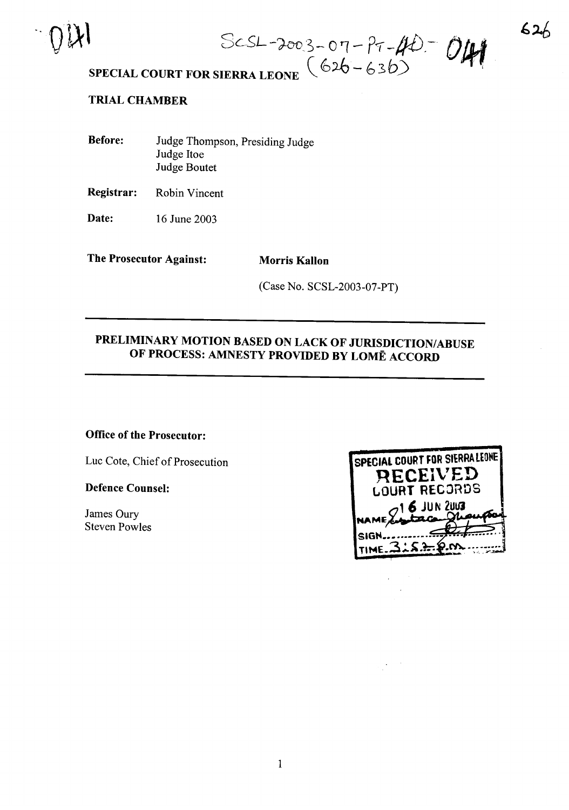

*3c-SL* -?-oo\_'~- <sup>0</sup> '1- *P-r -1fD.-*

# SPECIAL COURT FOR SIERRA LEONE  $(626 - 636)$

### TRIAL CHAMBER

| <b>Before:</b> | Judge Thompson, Presiding Judge |
|----------------|---------------------------------|
|                | Judge Itoe                      |
|                | Judge Boutet                    |

Registrar: Robin Vincent

**Date:** 16 June 2003

The Prosecutor Against: Morris Kallon

(Case No. SCSL-2003-07-PT)

### PRELIMINARY MOTION BASED ON LACK OF JURISDICTION/ABUSE OF PROCESS: AMNESTY PROVIDED BY LOME ACCORD

### Office of the Prosecutor:

Luc Cote, Chief of Prosecution

#### Defence Counsel:

James Oury Steven Powles

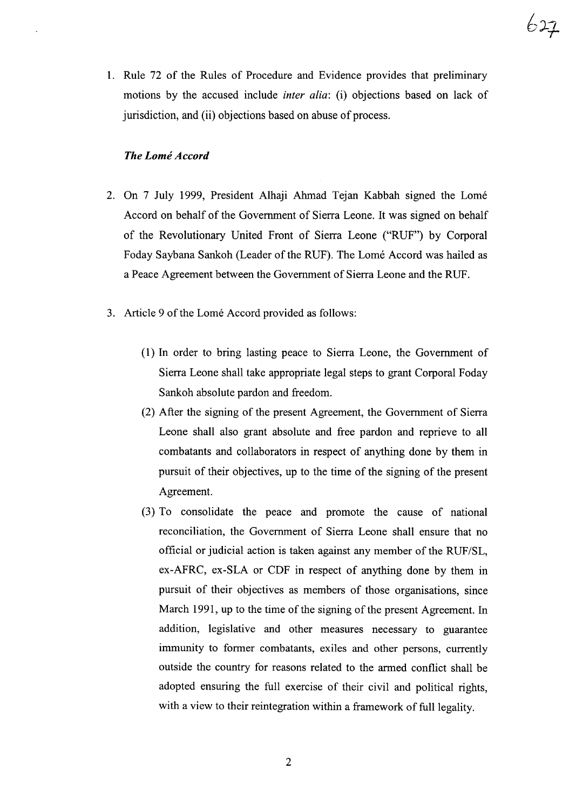1. Rule 72 of the Rules of Procedure and Evidence provides that preliminary motions by the accused include *inter alia:* (i) objections based on lack of jurisdiction, and (ii) objections based on abuse of process.

### *The Lome Accord*

- 2. On 7 July 1999, President Alhaji Ahmad Tejan Kabbah signed the Lome Accord on behalf of the Government of Sierra Leone. It was signed on behalf of the Revolutionary United Front of Sierra Leone ("RUF") by Corporal Foday Saybana Sankoh (Leader of the RUF). The Lomé Accord was hailed as a Peace Agreement between the Government of Sierra Leone and the RUF.
- 3. Article 9 of the Lomé Accord provided as follows:
	- (1) In order to bring lasting peace to Sierra Leone, the Government of Sierra Leone shall take appropriate legal steps to grant Corporal Foday Sankoh absolute pardon and freedom.
	- (2) After the signing of the present Agreement, the Government of Sierra Leone shall also grant absolute and free pardon and reprieve to all combatants and collaborators in respect of anything done by them in pursuit of their objectives, up to the time of the signing of the present Agreement.
	- (3) To consolidate the peace and promote the cause of national reconciliation, the Government of Sierra Leone shall ensure that no official or judicial action is taken against any member of the RUF/SL, ex-AFRC, ex-SLA or CDF in respect of anything done by them in pursuit of their objectives as members of those organisations, since March 1991, up to the time of the signing of the present Agreement. In addition, legislative and other measures necessary to guarantee immunity to former combatants, exiles and other persons, currently outside the country for reasons related to the armed conflict shall be adopted ensuring the full exercise of their civil and political rights, with a view to their reintegration within a framework of full legality.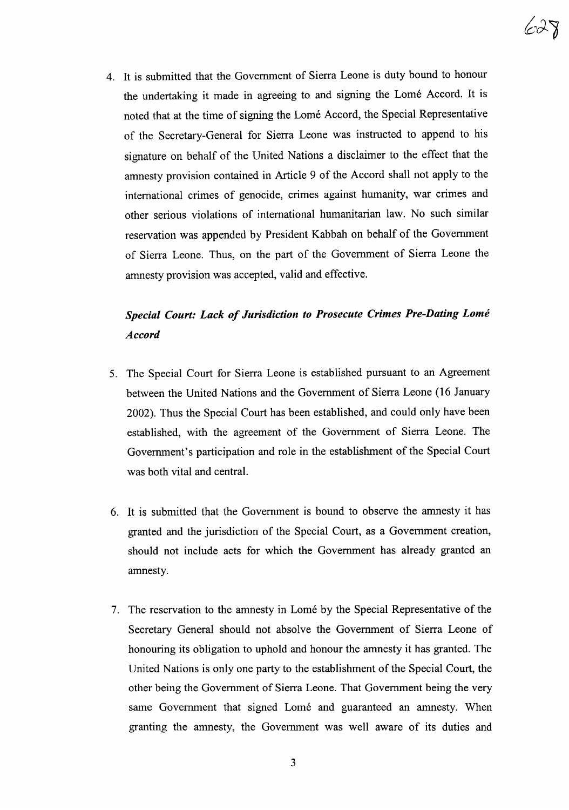

4. It is submitted that the Government of Sierra Leone is duty bound to honour the undertaking it made in agreeing to and signing the Lome Accord. It is noted that at the time of signing the Lome Accord, the Special Representative of the Secretary-General for Sierra Leone was instructed to append to his signature on behalf of the United Nations a disclaimer to the effect that the amnesty provision contained in Article 9 of the Accord shall not apply to the international crimes of genocide, crimes against humanity, war crimes and other serious violations of international humanitarian law. No such similar reservation was appended by President Kabbah on behalf of the Government of Sierra Leone. Thus, on the part of the Government of Sierra Leone the amnesty provision was accepted, valid and effective.

### *Special Court: Lack of Jurisdiction to Prosecute Crimes Pre-Dating Lome Accord*

- 5. The Special Court for Sierra Leone is established pursuant to an Agreement between the United Nations and the Government of Sierra Leone (16 January 2002). Thus the Special Court has been established, and could only have been established, with the agreement of the Government of Sierra Leone. The Government's participation and role in the establishment of the Special Court was both vital and central.
- 6. It is submitted that the Government is bound to observe the amnesty it has granted and the jurisdiction of the Special Court, as a Government creation, should not include acts for which the Government has already granted an amnesty.
- 7. The reservation to the amnesty in Lome by the Special Representative of the Secretary General should not absolve the Government of Sierra Leone of honouring its obligation to uphold and honour the amnesty it has granted. The United Nations is only one party to the establishment of the Special Court, the other being the Government of Sierra Leone. That Government being the very same Government that signed Lomé and guaranteed an amnesty. When granting the amnesty, the Government was well aware of its duties and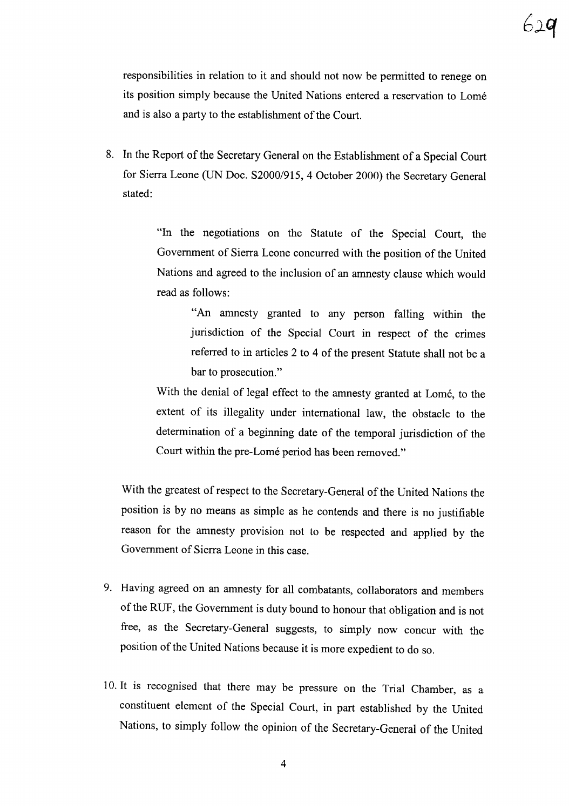responsibilities in relation to it and should not now be permitted to renege on its position simply because the United Nations entered a reservation to Lome and is also a party to the establishment of the Court.

8. In the Report of the Secretary General on the Establishment of a Special Court for Sierra Leone (UN Doc. S2000/915, 4 October 2000) the Secretary General stated:

> "In the negotiations on the Statute of the Special Court, the Government of Sierra Leone concurred with the position of the United Nations and agreed to the inclusion of an amnesty clause which would read as follows:

> > "An amnesty granted to any person falling within the jurisdiction of the Special Court in respect of the crimes referred to in articles 2 to 4 of the present Statute shall not be a bar to prosecution."

With the denial of legal effect to the amnesty granted at Lome, to the extent of its illegality under international law, the obstacle to the determination of a beginning date of the temporal jurisdiction of the Court within the pre-Lomé period has been removed."

With the greatest of respect to the Secretary-General of the United Nations the position is by no means as simple as he contends and there is no justifiable reason for the amnesty provision not to be respected and applied by the Government of Sierra Leone in this case.

- 9. Having agreed on an amnesty for all combatants, collaborators and members of the RUF, the Government is duty bound to honour that obligation and is not free, as the Secretary-General suggests, to simply now concur with the position of the United Nations because it is more expedient to do so.
- 10. It is recognised that there may be pressure on the Trial Chamber, as a constituent element of the Special Court, in part established by the United Nations, to simply follow the opinion of the Secretary-General of the United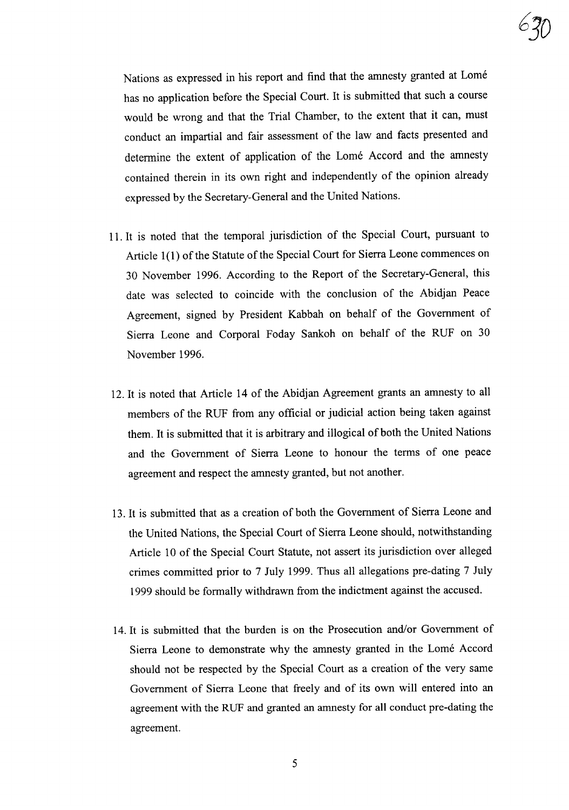

Nations as expressed in his report and find that the amnesty granted at Lome has no application before the Special Court. It is submitted that such a course would be wrong and that the Trial Chamber, to the extent that it can, must conduct an impartial and fair assessment of the law and facts presented and determine the extent of application of the Lome Accord and the amnesty contained therein in its own right and independently of the opinion already expressed by the Secretary-General and the United Nations.

- 11. It is noted that the temporal jurisdiction of the Special Court, pursuant to Article 1(1) of the Statute of the Special Court for Sierra Leone commences on 30 November 1996. According to the Report of the Secretary-General, this date was selected to coincide with the conclusion of the Abidjan Peace Agreement, signed by President Kabbah on behalf of the Government of Sierra Leone and Corporal Foday Sankoh on behalf of the RUF on 30 November 1996.
- 12. It is noted that Article 14 of the Abidjan Agreement grants an amnesty to all members of the RUF from any official or judicial action being taken against them. It is submitted that it is arbitrary and illogical of both the United Nations and the Government of Sierra Leone to honour the terms of one peace agreement and respect the amnesty granted, but not another.
- 13. It is submitted that as a creation of both the Government of Sierra Leone and the United Nations, the Special Court of Sierra Leone should, notwithstanding Article 10 of the Special Court Statute, not assert its jurisdiction over alleged crimes committed prior to 7 July 1999. Thus all allegations pre-dating 7 July 1999 should be formally withdrawn from the indictment against the accused.
- 14. It is submitted that the burden is on the Prosecution and/or Government of Sierra Leone to demonstrate why the amnesty granted in the Lome Accord should not be respected by the Special Court as a creation of the very same Government of Sierra Leone that freely and of its own will entered into an agreement with the RUF and granted an amnesty for all conduct pre-dating the agreement.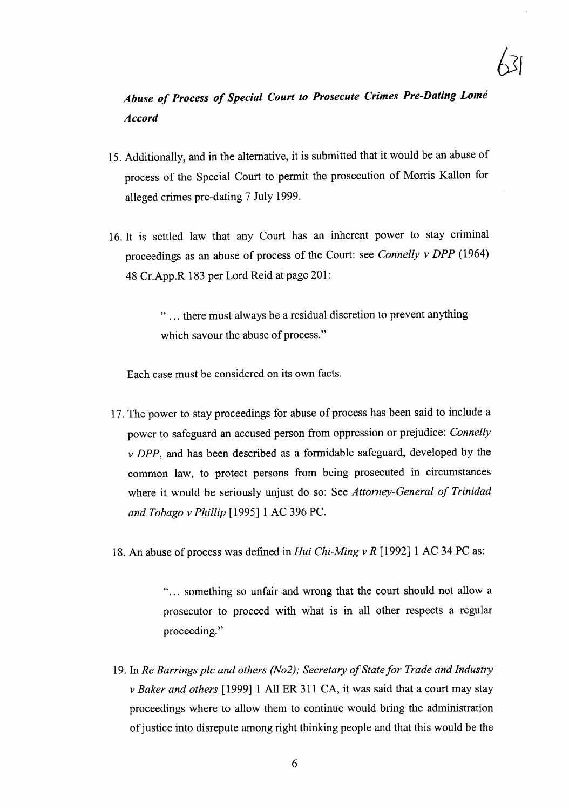## *Abuse of Process of Special Court to Prosecute Crimes Pre-Dating Lome Accord*

- 15. Additionally, and in the alternative, it is submitted that it would be an abuse of process of the Special Court to permit the prosecution of Morris Kallon for alleged crimes pre-dating 7 July 1999.
- 16. It is settled law that any Court has an inherent power to stay criminal proceedings as an abuse of process of the Court: see *Connelly* v *DPP (1964)* 48 Cr.App.R 183 per Lord Reid at page 201:

" ... there must always be a residual discretion to prevent anything which savour the abuse of process."

Each case must be considered on its own facts.

- 17. The power to stay proceedings for abuse of process has been said to include a power to safeguard an accused person from oppression or prejudice: *Connelly* v *DPP,* and has been described as a formidable safeguard, developed by the common law, to protect persons from being prosecuted in circumstances where it would be seriously unjust do so: See *Attorney-General of Trinidad and Tobago* v *Phillip* [1995] 1 AC 396 PC.
- 18. An abuse of process was defined in *Hui Chi-Ming* v *R* [1992] 1 AC 34 PC as:

"... something so unfair and wrong that the court should not allow a prosecutor to proceed with what is in all other respects a regular proceeding."

19. In *Re Barrings plc and others (No2); Secretary of State for Trade and Industry* v *Baker and others* [1999] 1 All ER 311 CA, it was said that a court may stay proceedings where to allow them to continue would bring the administration of justice into disrepute among right thinking people and that this would be the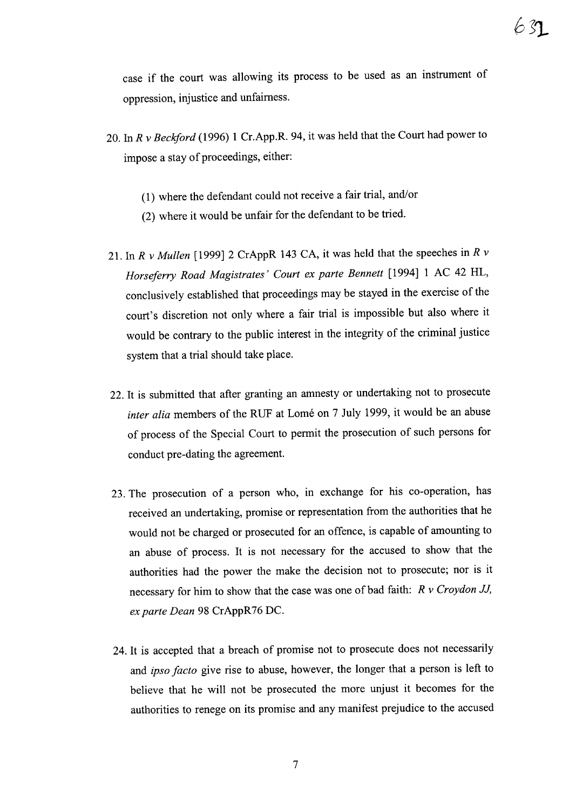case if the court was allowing its process to be used as an instrument of oppression, injustice and unfairness.

- 20. In *R* v *Beckford* (1996) 1 Cr.App.R. 94, it was held that the Court had power to impose a stay of proceedings, either:
	- (1) where the defendant could not receive a fair trial, and/or
	- (2) where it would be unfair for the defendant to be tried.
- 21. In *R* v *Mullen* [1999] 2 CrAppR 143 CA, it was held that the speeches in *R* v *Horseferry Road Magistrates' Court ex parte Bennett* [1994] 1 AC 42 HL, conclusively established that proceedings may be stayed in the exercise of the court's discretion not only where a fair trial is impossible but also where it would be contrary to the public interest in the integrity of the criminal justice system that a trial should take place.
- 22. It is submitted that after granting an amnesty or undertaking not to prosecute *inter alia* members of the RUF at Lomé on 7 July 1999, it would be an abuse of process of the Special Court to permit the prosecution of such persons for conduct pre-dating the agreement.
- 23. The prosecution of a person who, in exchange for his co-operation, has received an undertaking, promise or representation from the authorities that he would not be charged or prosecuted for an offence, is capable of amounting to an abuse of process. It is not necessary for the accused to show that the authorities had the power the make the decision not to prosecute; nor is it necessary for him to show that the case was one of bad faith: *R* v *Croydon JJ, ex parte Dean* 98 CrAppR76 DC.
- 24. It is accepted that a breach of promise not to prosecute does not necessarily and *ipso facto* give rise to abuse, however, the longer that a person is left to believe that he will not be prosecuted the more unjust it becomes for the authorities to renege on its promise and any manifest prejudice to the accused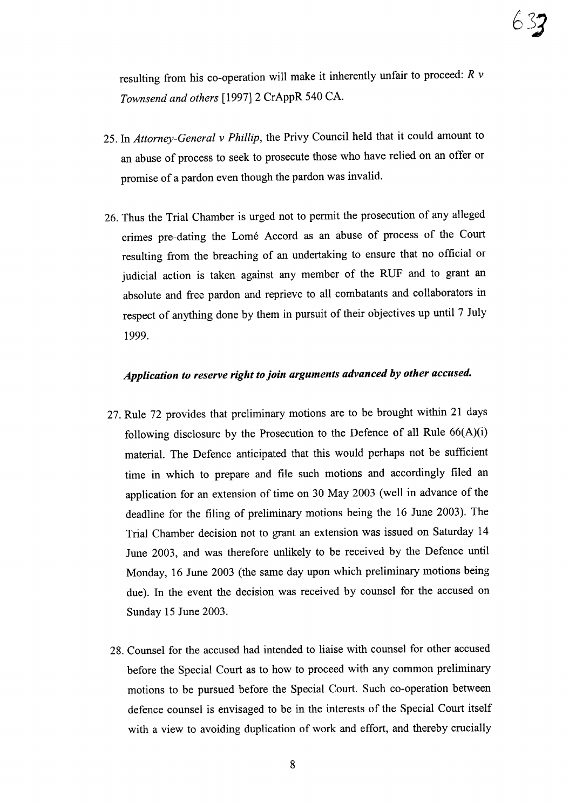resulting from his co-operation will make it inherently unfair to proceed: *R* v *Townsend and others* [1997] 2 CrAppR 540 CA.

- 25. In *Attorney-General* v *Phillip,* the Privy Council held that it could amount to an abuse of process to seek to prosecute those who have relied on an offer or promise of a pardon even though the pardon was invalid.
- 26. Thus the Trial Chamber is urged not to permit the prosecution of any alleged crimes pre-dating the Lome Accord as an abuse of process of the Court resulting from the breaching of an undertaking to ensure that no official or judicial action is taken against any member of the RUF and to grant an absolute and free pardon and reprieve to all combatants and collaborators in respect of anything done by them in pursuit of their objectives up until 7 July 1999.

### *Application to reserve right to join arguments advanced* by *other accused.*

- 27. Rule 72 provides that preliminary motions are to be brought within 21 days following disclosure by the Prosecution to the Defence of all Rule 66(A)(i) material. The Defence anticipated that this would perhaps not be sufficient time in which to prepare and file such motions and accordingly filed an application for an extension of time on 30 May 2003 (well in advance of the deadline for the filing of preliminary motions being the 16 June 2003). The Trial Chamber decision not to grant an extension was issued on Saturday 14 June 2003, and was therefore unlikely to be received by the Defence until Monday, 16 June 2003 (the same day upon which preliminary motions being due). In the event the decision was received by counsel for the accused on Sunday 15 June 2003.
- 28. Counsel for the accused had intended to liaise with counsel for other accused before the Special Court as to how to proceed with any common preliminary motions to be pursued before the Special Court. Such co-operation between defence counsel is envisaged to be in the interests of the Special Court itself with a view to avoiding duplication of work and effort, and thereby crucially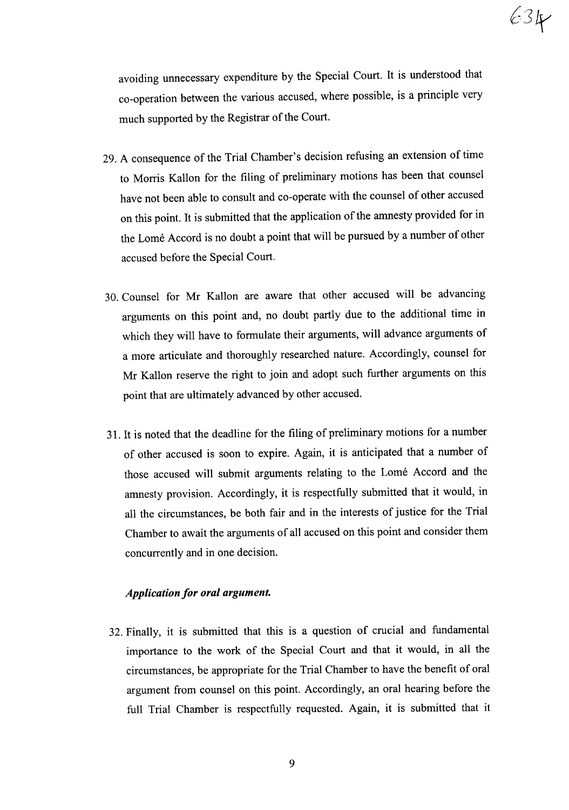avoiding unnecessary expenditure by the Special Court. It is understood that co-operation between the various accused, where possible, is a principle very much supported by the Registrar of the Court.

- 29. A consequence of the Trial Chamber's decision refusing an extension of time to Morris Kallon for the filing of preliminary motions has been that counsel have not been able to consult and co-operate with the counsel of other accused on this point. It is submitted that the application of the amnesty provided for in the Lome Accord is no doubt a point that will be pursued by a number of other accused before the Special Court.
- 30. Counsel for Mr Kallon are aware that other accused will be advancing arguments on this point and, no doubt partly due to the additional time in which they will have to formulate their arguments, will advance arguments of a more articulate and thoroughly researched nature. Accordingly, counsel for Mr Kallon reserve the right to join and adopt such further arguments on this point that are ultimately advanced by other accused.
- 31. It is noted that the deadline for the filing of preliminary motions for a number of other accused is soon to expire. Again, it is anticipated that a number of those accused will submit arguments relating to the Lome Accord and the amnesty provision. Accordingly, it is respectfully submitted that it would, in all the circumstances, be both fair and in the interests of justice for the Trial Chamber to await the arguments of all accused on this point and consider them concurrently and in one decision.

### *Application for oral argument.*

32. Finally, it is submitted that this is a question of crucial and fundamental importance to the work of the Special Court and that it would, in all the circumstances, be appropriate for the Trial Chamber to have the benefit of oral argument from counsel on this point. Accordingly, an oral hearing before the full Trial Chamber is respectfully requested. Again, it is submitted that it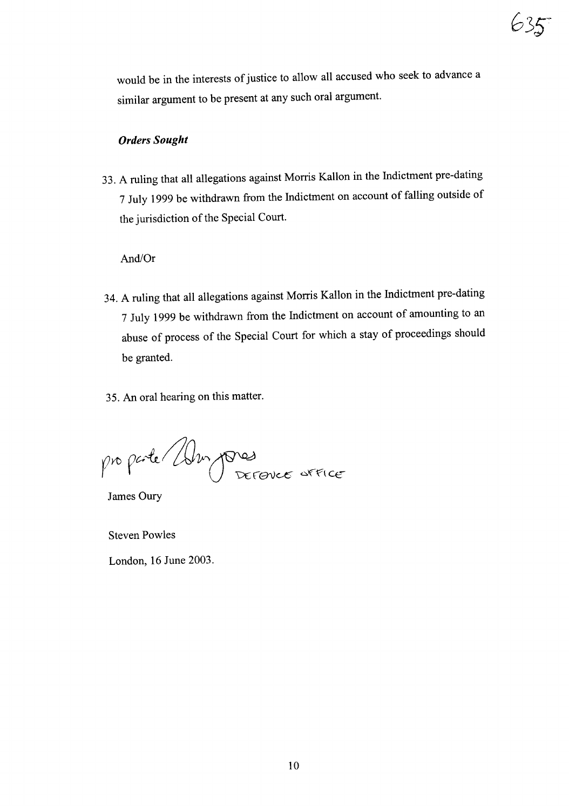would be in the interests of justice to allow all accused who seek to advance a similar argument to be present at any such oral argument.

### *Orders Sought*

33. A ruling that all allegations against Morris Kallon in the Indictment pre-dating 7 July 1999 be withdrawn from the Indictment on account of falling outside of the jurisdiction of the Special Court.

### And/Or

- 34. A ruling that all allegations against Morris Kallon in the Indictment pre-dating 7 July 1999 be withdrawn from the Indictment on account of amounting to an abuse of process of the Special Court for which a stay of proceedings should be granted.
- 35. An oral hearing on this matter.

pro parte / Alm pores

James Oury

Steven Powles

London, 16 June 2003.